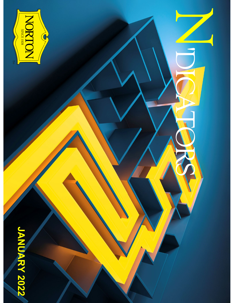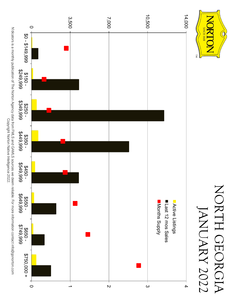

Copyright Norton Native Intelligence 2022.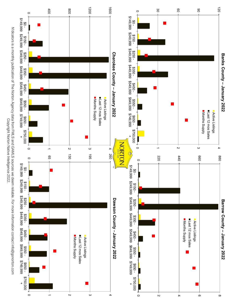

120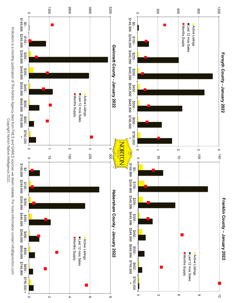![](_page_3_Figure_0.jpeg)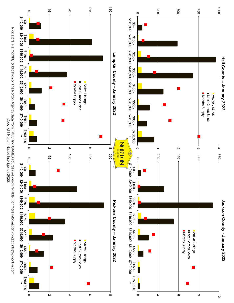![](_page_4_Figure_0.jpeg)